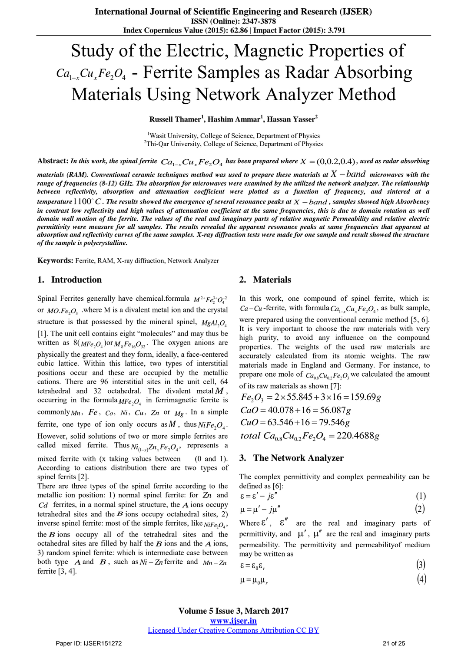# Study of the Electric, Magnetic Properties of Ca<sub>1-x</sub>Cu<sub>x</sub>Fe<sub>2</sub>O<sub>4</sub> - Ferrite Samples as Radar Absorbing Materials Using Network Analyzer Method

**Russell Thamer<sup>1</sup> , Hashim Ammar<sup>1</sup> , Hassan Yasser<sup>2</sup>**

<sup>1</sup>Wasit University, College of Science, Department of Physics <sup>2</sup>Thi-Qar University, College of Science, Department of Physics

Abstract: In this work, the spinal ferrite  $Ca_{1-x}Cu_xFe_2O_4$  has been prepared where  $X = (0,0.2,0.4)$ , used as radar absorbing

materials (RAM). Conventional ceramic techniques method was used to prepare these materials at  $X$   $band$  microwaves with the *range of frequencies (8-12) GHz. The absorption for microwaves were examined by the utilized the network analyzer. The relationship between reflectivity, absorption and attenuation coefficient were plotted as a function of frequency, and sintered at a*  temperature  $1100^{\circ}$  C . The results showed the emergence of several resonance peaks at  $X-band$  , samples showed high Absorbency in contrast low reflectivity and high values of attenuation coefficient at the same frequencies, this is due to domain rotation as well *domain wall motion of the ferrite. The values of the real and imaginary parts of relative magnetic Permeability and relative electric permittivity were measure for all samples. The results revealed the apparent resonance peaks at same frequencies that apparent at absorption and reflectivity curves of the same samples. X-ray diffraction tests were made for one sample and result showed the structure of the sample is polycrystalline.* 

**Keywords:** Ferrite, RAM, X-ray diffraction, Network Analyzer

#### **1. Introduction**

Spinal Ferrites generally have chemical.formula  $M^{2+}Fe^{3+}_2O_4^{-2}$ or  $MO.Fe_2O_3$  where M is a divalent metal ion and the crystal structure is that possessed by the mineral spinel,  $MgAl_2O_4$ [1]. The unit cell contains eight "molecules" and may thus be written as  $8(MFe<sub>2</sub>O<sub>4</sub>)$  or  $M<sub>8</sub>Fe<sub>16</sub>O<sub>32</sub>$ . The oxygen anions are physically the greatest and they form, ideally, a face-centered cubic lattice. Within this lattice, two types of interstitial positions occur and these are occupied by the metallic cations. There are 96 interstitial sites in the unit cell, 64 tetrahedral and 32 octahedral. The divalent metal  $M$ , occurring in the formula  $MFe<sub>2</sub>O<sub>4</sub>$  in ferrimagnetic ferrite is commonly  $M_n$ ,  $Fe$ ,  $Co$ ,  $Ni$ ,  $Cu$ ,  $Z_n$  or  $M_g$ . In a simple ferrite, one type of ion only occurs as M, thus  $NiFe<sub>2</sub>O<sub>4</sub>$ . However, solid solutions of two or more simple ferrites are called mixed ferrite. Thus  $N_{i_{(1-x)}} Z n_x F e_2 O_4$ , represents a mixed ferrite with (x taking values between (0 and 1). According to cations distribution there are two types of spinel ferrits [2].

There are three types of the spinel ferrite according to the metallic ion position: 1) normal spinel ferrite: for *Zn* and *Cd* ferrites, in a normal spinel structure, the *A* ions occupy tetrahedral sites and the  $\vec{B}$  ions occupy octahedral sites, 2) inverse spinel ferrite: most of the simple ferrites, like  $_{NiFe<sub>2</sub>O<sub>4</sub>}$ , the  $B$  ions occupy all of the tetrahedral sites and the octahedral sites are filled by half the  $B$  ions and the  $A$  ions, 3) random spinel ferrite: which is intermediate case between both type  $\overrightarrow{A}$  and  $\overrightarrow{B}$ , such as  $Ni - Zn$  ferrite and  $Mn - Zn$ ferrite [3, 4].

#### **2. Materials**

In this work, one compound of spinel ferrite, which is:  $Ca-Cu$ -ferrite, with formula  $Ca_{1-x}Cu_xFe_2O_4$ , as bulk sample, were prepared using the conventional ceramic method [5, 6]. It is very important to choose the raw materials with very high purity, to avoid any influence on the compound properties. The weights of the used raw materials are accurately calculated from its atomic weights. The raw materials made in England and Germany. For instance, to prepare one mole of  $Ca_{0.8}Cu_{0.2}Fe_2O_3$  we calculated the amount of its raw materials as shown [7]:

$$
Fe2O3 = 2 \times 55.845 + 3 \times 16 = 159.69 g
$$
  
\n
$$
CaO = 40.078 + 16 = 56.087 g
$$
  
\n
$$
CuO = 63.546 + 16 = 79.546 g
$$
  
\ntotal 
$$
Ca0.8 Cu0.2 Fe2O4 = 220.4688 g
$$

#### **3. The Network Analyzer**

The complex permittivity and complex permeability can be defined as [6]:  $(1)$ <br> $(2)$ 

$$
\varepsilon = \varepsilon' - j\varepsilon'' \tag{1}
$$

$$
\mu = \mu' - j\mu'' \tag{2}
$$

Where  $\epsilon'$ ,  $\epsilon''$  are the real and imaginary parts of permittivity, and  $\mu'$ ,  $\mu''$  are the real and imaginary parts permeability. The permittivity and permeabilityof medium may be written as barts<br>dium<br>(3)  $(3)$ <br> $(4)$ 

$$
\varepsilon = \varepsilon_0 \varepsilon_r \tag{3}
$$

$$
\mu = \mu_0 \mu_r \tag{4}
$$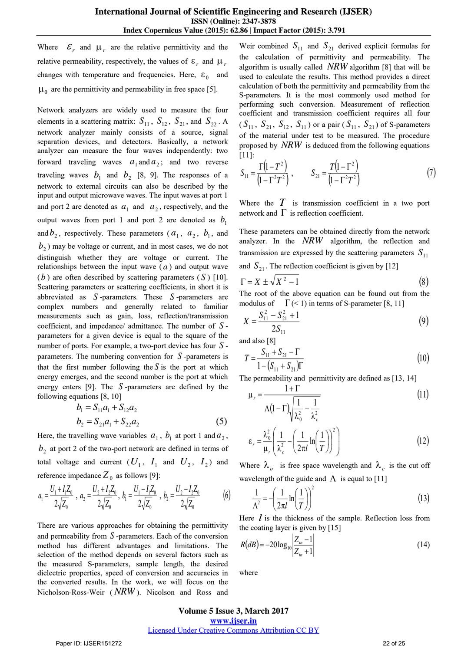Where  $\mathcal{E}_r$  and  $\mu_r$  are the relative permittivity and the relative permeability, respectively, the values of  $\varepsilon_r$  and  $\mu_r$ changes with temperature and frequencies. Here,  $\varepsilon_0$  and  $\mu_0$  are the permittivity and permeability in free space [5].

Network analyzers are widely used to measure the four elements in a scattering matrix:  $S_{11}$ ,  $S_{12}$ ,  $S_{21}$ , and  $S_{22}$ . A network analyzer mainly consists of a source, signal separation devices, and detectors. Basically, a network analyzer can measure the four waves independently: two forward traveling waves  $a_1$  and  $a_2$ ; and two reverse traveling waves  $b_1$  and  $b_2$  [8, 9]. The responses of a network to external circuits can also be described by the input and output microwave waves. The input waves at port 1 and port 2 are denoted as  $a_1$  and  $a_2$ , respectively, and the output waves from port 1 and port 2 are denoted as  $b_1$ and  $b_2$ , respectively. These parameters  $(a_1, a_2, b_1, a_2)$  $b_2$ ) may be voltage or current, and in most cases, we do not distinguish whether they are voltage or current. The relationships between the input wave  $(a)$  and output wave  $(b)$  are often described by scattering parameters  $(S)$  [10]. Scattering parameters or scattering coefficients, in short it is abbreviated as *S* -parameters. These *S* -parameters are complex numbers and generally related to familiar measurements such as gain, loss, reflection/transmission coefficient, and impedance/ admittance. The number of *S* parameters for a given device is equal to the square of the number of ports. For example, a two-port device has four *S* parameters. The numbering convention for *S* -parameters is that the first number following the  $S$  is the port at which energy emerges, and the second number is the port at which energy enters [9]. The *S* -parameters are defined by the following equations [8, 10]

$$
b_1 = S_{11}a_1 + S_{12}a_2
$$
  
\n
$$
b_2 = S_{21}a_1 + S_{22}a_2
$$
 (5)

Here, the travelling wave variables  $a_1$ ,  $b_1$  at port 1 and  $a_2$ ,  $b_2$  at port 2 of the two-port network are defined in terms of total voltage and current  $(U_1, I_1$  and  $U_2, I_2)$  and reference impedance  $Z_0$  as follows [9]:

$$
a_1 = \frac{U_1 + I_1 Z_0}{2\sqrt{Z_0}}, \ a_2 = \frac{U_2 + I_2 Z_0}{2\sqrt{Z_0}}, \ b_1 = \frac{U_1 - I_1 Z_0}{2\sqrt{Z_0}}, \ b_2 = \frac{U_2 - I_2 Z_0}{2\sqrt{Z_0}}
$$
(6)

There are various approaches for obtaining the permittivity and permeability from *S* -parameters. Each of the conversion method has different advantages and limitations. The selection of the method depends on several factors such as the measured S-parameters, sample length, the desired dielectric properties, speed of conversion and accuracies in the converted results. In the work, we will focus on the Nicholson-Ross-Weir ( *NRW* ). Nicolson and Ross and Weir combined  $S_{11}$  and  $S_{21}$  derived explicit formulas for the calculation of permittivity and permeability. The algorithm is usually called *NRW* algorithm [8] that will be used to calculate the results. This method provides a direct calculation of both the permittivity and permeability from the S-parameters. It is the most commonly used method for performing such conversion. Measurement of reflection coefficient and transmission coefficient requires all four  $(S_{11}, S_{21}, S_{12}, S_{11})$  or a pair  $(S_{11}, S_{21})$  of S-parameters of the material under test to be measured. The procedure<br>proposed by *NRW* is deduced from the following equations<br>[11]:<br> $S_{11} = \frac{\Gamma(1 - T^2)}{(1 - T^2)^2}$ ,  $S_{21} = \frac{T(1 - T^2)}{(1 - T^2)^2}$  (7) [11]:

proposed by *NRW* is deduced from the following equations  
\n[11]:  
\n
$$
S_{11} = \frac{\Gamma(1 - T^2)}{(1 - \Gamma^2 T^2)}, \qquad S_{21} = \frac{T(1 - \Gamma^2)}{(1 - \Gamma^2 T^2)}
$$
\n(7)

Where the  $T$  is transmission coefficient in a two port network and  $\Gamma$  is reflection coefficient.

These parameters can be obtained directly from the network analyzer. In the *NRW* algorithm, the reflection and transmission are expressed by the scattering parameters  $S_{11}$ <br>and  $S_{21}$ . The reflection coefficient is given by [12]<br> $\Gamma = X \pm \sqrt{X^2 - 1}$  (8) and  $S_{21}$ . The reflection coefficient is given by [12]

$$
\Gamma = X \pm \sqrt{X^2 - 1} \tag{8}
$$

The root of the above equation can be found out from the modulus of  $\Gamma(\leq 1)$  in terms of S-parameter [8, 11]

The root of the above equation can be found out from the  
nodulus of 
$$
\Gamma
$$
 (< 1) in terms of S-parameter [8, 11]  

$$
X = \frac{S_{11}^2 - S_{21}^2 + 1}{2S_{11}}
$$
(9)

and also [8]

$$
2S_{11}
$$
  
and also [8]  

$$
T = \frac{S_{11} + S_{21} - \Gamma}{1 - (S_{11} + S_{21})\Gamma}
$$
 (10)

The permeability and permittivity are defined as [13, 14]

$$
1 - (\delta_{11} + \delta_{21})I
$$
\ne permeability and permittivity are defined as [13, 14]\n
$$
\mu_r = \frac{1 + \Gamma}{\Lambda (1 - \Gamma) \sqrt{\frac{1}{\lambda_0^2} - \frac{1}{\lambda_c^2}}}
$$
\n
$$
\varepsilon_r = \frac{\lambda_0^2}{\mu} \left( \frac{1}{\lambda^2} - \left( \frac{1}{2\pi l} \ln \left( \frac{1}{T} \right) \right)^2 \right)
$$
\n(12)

$$
\varepsilon_r = \frac{\kappa_0}{\mu_r} \left( \frac{1}{\lambda_c^2} - \left( \frac{1}{2\pi l} \ln \left( \frac{1}{T} \right) \right) \right)
$$
(12)

where  $\lambda$ ,<br>wavelengt Where  $\lambda_o$  is free space wavelength and  $\lambda_c$  is the cut off wavelength of the guide and  $\Lambda$  is equal to [11]

velength of the guide and 
$$
\Lambda
$$
 is equal to [11]

\n
$$
\frac{1}{\Lambda^2} = -\left(\frac{1}{2\pi l} \ln\left(\frac{1}{T}\right)\right)^2\tag{13}
$$

the coating layer is given by [15]

Here *l* is the thickness of the sample. Reflection loss from  
the coating layer is given by [15]  

$$
R(dB) = -20\log_{10} \left| \frac{Z_{in} - 1}{Z_{in} + 1} \right|
$$
(14)

where

**Volume 5 Issue 3, March 2017 www.ijser.in** Licensed Under Creative Commons Attribution CC BY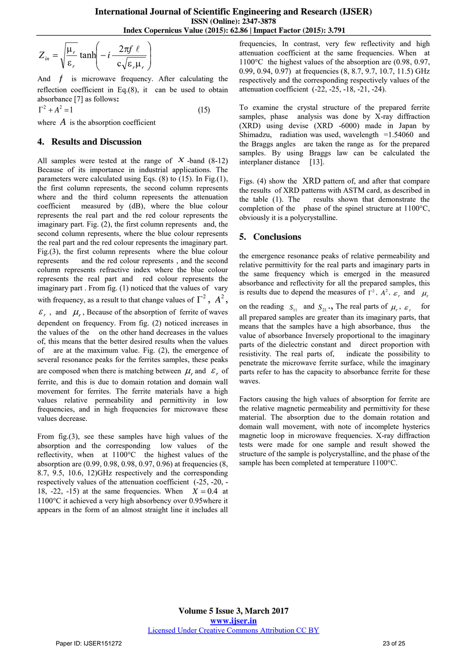$$
Z_{in} = \sqrt{\frac{\mu_r}{\varepsilon_r}} \tanh\left(-i \frac{2\pi f \ell}{c\sqrt{\varepsilon_r \mu_r}}\right)
$$

And *f* is microwave frequency. After calculating the reflection coefficient in Eq.(8), it can be used to obtain absorbance [7] as follows**:**

 $1 \t(15)$  $\Gamma^2 + A^2 = 1$ 

where  $A$  is the absorption coefficient

## **4. Results and Discussion**

All samples were tested at the range of  $X$ -band (8-12) Because of its importance in industrial applications. The parameters were calculated using Eqs. (8) to (15). In Fig.(1), the first column represents, the second column represents where and the third column represents the attenuation coefficient measured by (dB), where the blue colour represents the real part and the red colour represents the imaginary part. Fig. (2), the first column represents and, the second column represents, where the blue colour represents the real part and the red colour represents the imaginary part. Fig.(3), the first column represents where the blue colour represents and the red colour represents , and the second column represents refractive index where the blue colour represents the real part and red colour represents the imaginary part . From fig. (1) noticed that the values of vary with frequency, as a result to that change values of  $\Gamma^2$ ,  $A^2$ ,  $\mathcal{E}_r$ , and  $\mu_r$ , Because of the absorption of ferrite of waves dependent on frequency. From fig. (2) noticed increases in the values of the on the other hand decreases in the values of, this means that the better desired results when the values of are at the maximum value. Fig. (2), the emergence of several resonance peaks for the ferrites samples, these peaks are composed when there is matching between  $\mu_r$  and  $\epsilon_r$  of ferrite, and this is due to domain rotation and domain wall movement for ferrites. The ferrite materials have a high values relative permeability and permittivity in low frequencies, and in high frequencies for microwave these values decrease.

From fig.(3), see these samples have high values of the absorption and the corresponding low values of the reflectivity, when at 1100°C the highest values of the absorption are (0.99, 0.98, 0.98, 0.97, 0.96) at frequencies (8, 8.7, 9.5, 10.6, 12)GHz respectively and the corresponding respectively values of the attenuation coefficient (-25, -20, - 18,  $-22$ ,  $-15$ ) at the same frequencies. When  $X = 0.4$  at 1100°C it achieved a very high absorbency over 0.95where it appears in the form of an almost straight line it includes all

frequencies, In contrast, very few reflectivity and high attenuation coefficient at the same frequencies. When at 1100°C the highest values of the absorption are (0.98, 0.97, 0.99, 0.94, 0.97) at frequencies (8, 8.7, 9.7, 10.7, 11.5) GHz respectively and the corresponding respectively values of the attenuation coefficient (-22, -25, -18, -21, -24).

To examine the crystal structure of the prepared ferrite samples, phase analysis was done by X-ray diffraction (XRD) using devise (XRD -6000) made in Japan by Shimadzu, radiation was used, wavelength  $=1.54060$  and the Braggs angles are taken the range as for the prepared samples. By using Braggs law can be calculated the interplaner distance [13].

Figs. (4) show the XRD pattern of, and after that compare the results of XRD patterns with ASTM card, as described in the table (1). The results shown that demonstrate the completion of the phase of the spinel structure at 1100°C, obviously it is a polycrystalline.

# **5. Conclusions**

the emergence resonance peaks of relative permeability and relative permittivity for the real parts and imaginary parts in the same frequency which is emerged in the measured absorbance and reflectivity for all the prepared samples, this is results due to depend the measures of  $\Gamma^2$ ,  $A^2$ ,  $\varepsilon_r$ , and  $\mu_r$ on the reading  $S_{11}$  and  $S_{21}$ , The real parts of  $\mu_r$ ,  $\varepsilon_r$  for all prepared samples are greater than its imaginary parts, that means that the samples have a high absorbance, thus the value of absorbance Inversely proportional to the imaginary parts of the dielectric constant and direct proportion with resistivity. The real parts of, indicate the possibility to penetrate the microwave ferrite surface, while the imaginary parts refer to has the capacity to absorbance ferrite for these waves.

Factors causing the high values of absorption for ferrite are the relative magnetic permeability and permittivity for these material. The absorption due to the domain rotation and domain wall movement, with note of incomplete hysterics magnetic loop in microwave frequencies. X-ray diffraction tests were made for one sample and result showed the structure of the sample is polycrystalline, and the phase of the sample has been completed at temperature 1100°C.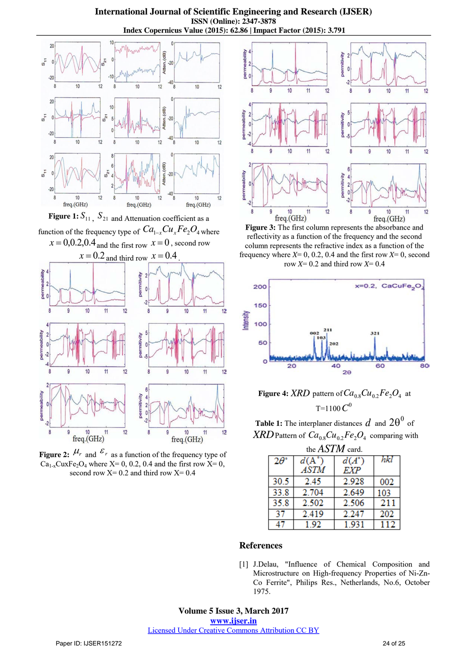**International Journal of Scientific Engineering and Research (IJSER) ISSN (Online): 2347-3878 Index Copernicus Value (2015): 62.86 | Impact Factor (2015): 3.791**



**Figure 1:**  $S_{11}$ ,  $S_{21}$  and Attenuation coefficient as a function of the frequency type of  $\mathit{Ca}_{1-x}\mathit{Cu}_{x}\mathit{Fe}_{2}\mathit{O}_{4}$  where  $x = 0.0.2$ , $0.4$  and the first row  $x = 0$ , second row



**Figure 2:**  $\mu_r$  and  $\epsilon_r$  as a function of the frequency type of  $Ca_{1-x}$ CuxFe<sub>2</sub>O<sub>4</sub> where X= 0, 0.2, 0.4 and the first row X= 0, second row  $X=0.2$  and third row  $X=0.4$ 



**Figure 3:** The first column represents the absorbance and reflectivity as a function of the frequency and the second column represents the refractive index as a function of the frequency where  $X=$  0, 0.2, 0.4 and the first row  $X=$  0, second row *X*= 0.2 and third row *X*= 0.4



**Figure 4:**  $XRD$  pattern of  $Ca_{0.8}Cu_{0.2}Fe_2O_4$  at T=1100 $C^0$ 

**Table 1:** The interplaner distances  $d$  and  $2\theta^0$  of  $\textit{XRD}$  Pattern of  $\textit{Ca}_{0.8}\textit{Cu}_{0.2}\textit{Fe}_{2}\textit{O}_{4}$  comparing with

| the ASTM card.    |                |                |     |
|-------------------|----------------|----------------|-----|
| $2\theta^{\circ}$ | $d(A^{\circ})$ | $d(A^{\circ})$ | hkl |
|                   | ASTM           | EXP            |     |
| 30.5              | 2.45           | 2.928          | 002 |
| 33.8              | 2.704          | 2.649          | 103 |
| 35.8              | 2.502          | 2.506          | 211 |
| 37                | 2.419          | 2.247          | 202 |
|                   | 192            | -931           |     |

### **References**

[1] J.Delau, "Influence of Chemical Composition and Microstructure on High-frequency Properties of Ni-Zn-Co Ferrite", Philips Res., Netherlands, No.6, October 1975.

**Volume 5 Issue 3, March 2017 www.ijser.in** Licensed Under Creative Commons Attribution CC BY